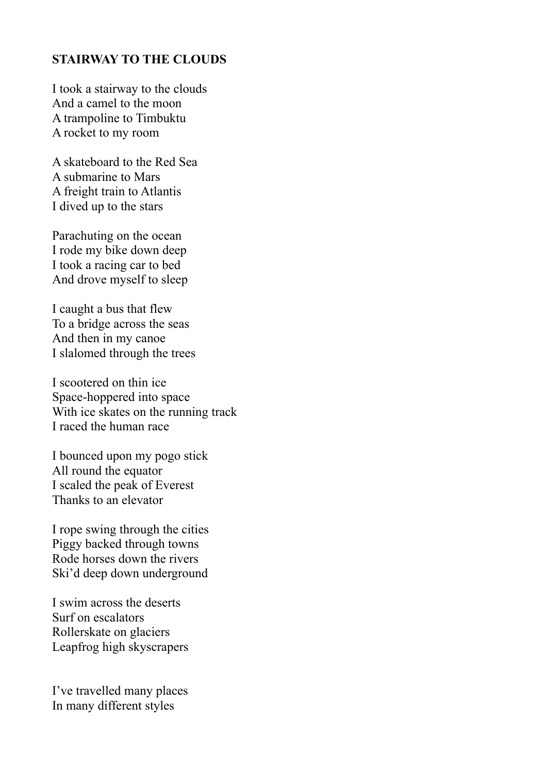## **STAIRWAY TO THE CLOUDS**

I took a stairway to the clouds And a camel to the moon A trampoline to Timbuktu A rocket to my room

A skateboard to the Red Sea A submarine to Mars A freight train to Atlantis I dived up to the stars

Parachuting on the ocean I rode my bike down deep I took a racing car to bed And drove myself to sleep

I caught a bus that flew To a bridge across the seas And then in my canoe I slalomed through the trees

I scootered on thin ice Space-hoppered into space With ice skates on the running track I raced the human race

I bounced upon my pogo stick All round the equator I scaled the peak of Everest Thanks to an elevator

I rope swing through the cities Piggy backed through towns Rode horses down the rivers Ski'd deep down underground

I swim across the deserts Surf on escalators Rollerskate on glaciers Leapfrog high skyscrapers

I've travelled many places In many different styles